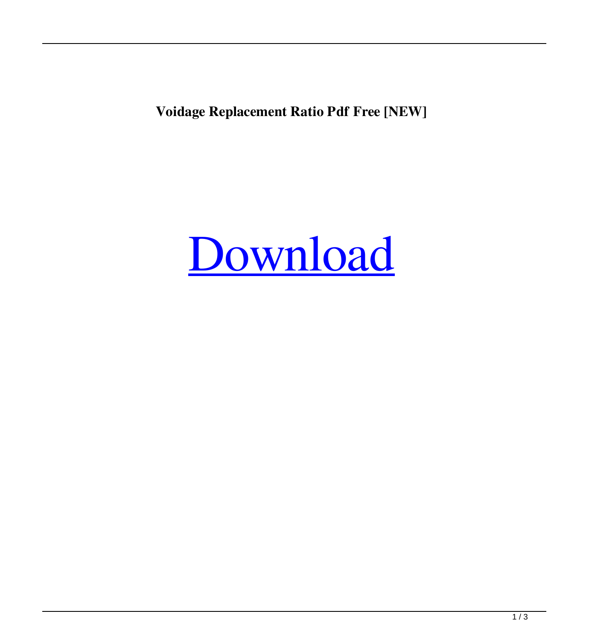**Voidage Replacement Ratio Pdf Free [NEW]**

## [Download](https://urluss.com/2m1mt4)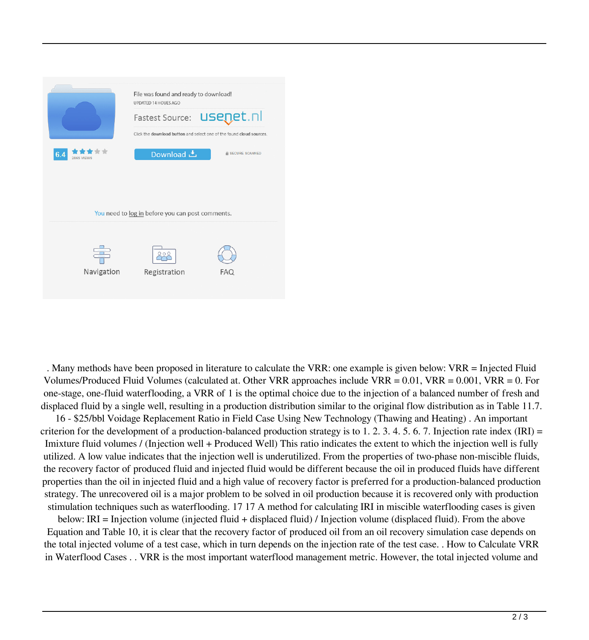

. Many methods have been proposed in literature to calculate the VRR: one example is given below: VRR = Injected Fluid Volumes/Produced Fluid Volumes (calculated at. Other VRR approaches include VRR = 0.01, VRR = 0.001, VRR = 0. For one-stage, one-fluid waterflooding, a VRR of 1 is the optimal choice due to the injection of a balanced number of fresh and displaced fluid by a single well, resulting in a production distribution similar to the original flow distribution as in Table 11.7.

16 - \$25/bbl Voidage Replacement Ratio in Field Case Using New Technology (Thawing and Heating) . An important criterion for the development of a production-balanced production strategy is to 1, 2, 3, 4, 5, 6, 7. Injection rate index (IRI) = Imixture fluid volumes / (Injection well + Produced Well) This ratio indicates the extent to which the injection well is fully utilized. A low value indicates that the injection well is underutilized. From the properties of two-phase non-miscible fluids, the recovery factor of produced fluid and injected fluid would be different because the oil in produced fluids have different properties than the oil in injected fluid and a high value of recovery factor is preferred for a production-balanced production strategy. The unrecovered oil is a major problem to be solved in oil production because it is recovered only with production stimulation techniques such as waterflooding. 17 17 A method for calculating IRI in miscible waterflooding cases is given

below: IRI = Injection volume (injected fluid + displaced fluid) / Injection volume (displaced fluid). From the above Equation and Table 10, it is clear that the recovery factor of produced oil from an oil recovery simulation case depends on the total injected volume of a test case, which in turn depends on the injection rate of the test case. . How to Calculate VRR in Waterflood Cases . . VRR is the most important waterflood management metric. However, the total injected volume and